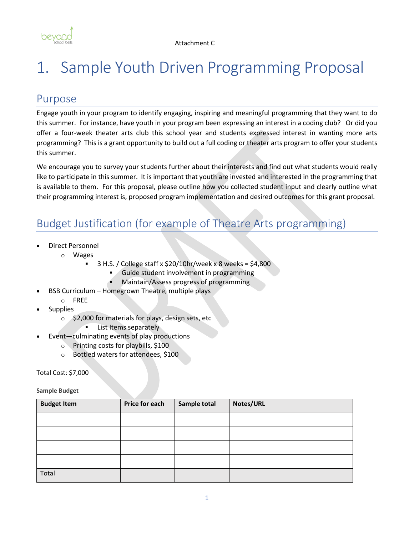

# 1. Sample Youth Driven Programming Proposal

## Purpose

Engage youth in your program to identify engaging, inspiring and meaningful programming that they want to do this summer. For instance, have youth in your program been expressing an interest in a coding club? Or did you offer a four-week theater arts club this school year and students expressed interest in wanting more arts programming? This is a grant opportunity to build out a full coding or theater arts program to offer your students this summer.

We encourage you to survey your students further about their interests and find out what students would really like to participate in this summer. It is important that youth are invested and interested in the programming that is available to them. For this proposal, please outline how you collected student input and clearly outline what their programming interest is, proposed program implementation and desired outcomes for this grant proposal.

# Budget Justification (for example of Theatre Arts programming)

- Direct Personnel
	- o Wages
		- $3$  H.S. / College staff x \$20/10hr/week x 8 weeks = \$4,800
			- Guide student involvement in programming
			- Maintain/Assess progress of programming
- BSB Curriculum Homegrown Theatre, multiple plays
- o FREE
- **Supplies** 
	- $\circ$  \$2,000 for materials for plays, design sets, etc
		- List Items separately
- Event—culminating events of play productions
	- o Printing costs for playbills, \$100
	- o Bottled waters for attendees, \$100

Total Cost: \$7,000

**Sample Budget**

| <b>Budget Item</b> | <b>Price for each</b> | Sample total | Notes/URL |  |
|--------------------|-----------------------|--------------|-----------|--|
|                    |                       |              |           |  |
|                    |                       |              |           |  |
|                    |                       |              |           |  |
|                    |                       |              |           |  |
| Total              |                       |              |           |  |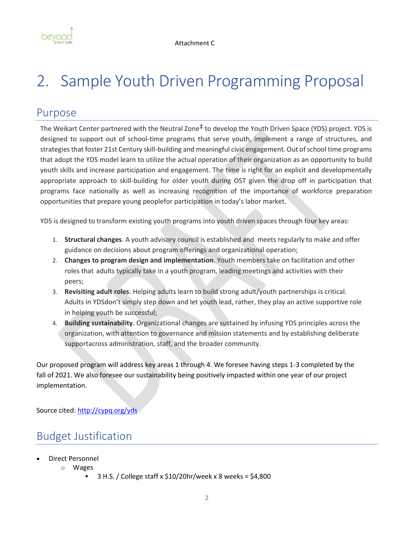

# 2. Sample Youth Driven Programming Proposal

### Purpose

The Weikart Center partnered with the Neutral Zone<sup>‡</sup> to develop the Youth Driven Space (YDS) project. YDS is designed to support out of school-time programs that serve youth, implement a range of structures, and strategies that foster 21st Century skill-building and meaningful civic engagement. Out of school time programs that adopt the YDS model learn to utilize the actual operation of their organization as an opportunity to build youth skills and increase participation and engagement. The time is right for an explicit and developmentally appropriate approach to skill-building for older youth during OST given the drop off in participation that programs face nationally as well as increasing recognition of the importance of workforce preparation opportunities that prepare young peoplefor participation in today's labor market.

YDS is designed to transform existing youth programs into youth driven spaces through four key areas:

- 1. **Structural changes**. A youth advisory council is established and meets regularly to make and offer guidance on decisions about program offerings and organizational operation;
- 2. **Changes to program design and implementation**. Youth members take on facilitation and other roles that adults typically take in a youth program, leading meetings and activities with their peers;
- 3. **Revisiting adult roles**. Helping adults learn to build strong adult/youth partnerships is critical. Adults in YDSdon't simply step down and let youth lead, rather, they play an active supportive role in helping youth be successful;
- 4. **Building sustainability**. Organizational changes are sustained by infusing YDS principles across the organization, with attention to governance and mission statements and by establishing deliberate supportacross administration, staff, and the broader community.

Our proposed program will address key areas 1 through 4. We foresee having steps 1-3 completed by the fall of 2021. We also foresee our sustainability being positively impacted within one year of our project implementation.

Source cited[: http://cypq.org/yds](http://cypq.org/yds)

# Budget Justification

- Direct Personnel
	- o Wages
		- $3$  H.S. / College staff x  $$10/20$ hr/week x 8 weeks =  $$4,800$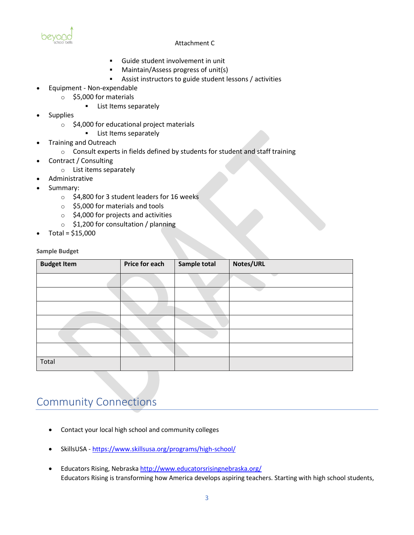

#### Attachment C

- Guide student involvement in unit
- Maintain/Assess progress of unit(s)
- Assist instructors to guide student lessons / activities
- Equipment Non-expendable
	- o \$5,000 for materials
		- **EXECUTE:** List Items separately
- **Supplies** 
	- o \$4,000 for educational project materials
		- **EXECUTE:** List Items separately
- Training and Outreach
	- $\circ$  Consult experts in fields defined by students for student and staff training
- Contract / Consulting
	- o List items separately
- Administrative
- Summary:
	- o \$4,800 for 3 student leaders for 16 weeks
	- o \$5,000 for materials and tools
	- $\circ$  \$4,000 for projects and activities
	- o \$1,200 for consultation / planning
- Total = \$15,000

**Sample Budget**

| <b>Budget Item</b> | Price for each | Sample total | Notes/URL |
|--------------------|----------------|--------------|-----------|
|                    |                |              |           |
|                    |                |              |           |
|                    |                |              |           |
|                    |                |              |           |
|                    |                |              |           |
|                    |                |              |           |
| Total              |                |              |           |

## Community Connections

- Contact your local high school and community colleges
- SkillsUSA <https://www.skillsusa.org/programs/high-school/>
- Educators Rising, Nebrask[a http://www.educatorsrisingnebraska.org/](http://www.educatorsrisingnebraska.org/)  Educators Rising is transforming how America develops aspiring teachers. Starting with high school students,